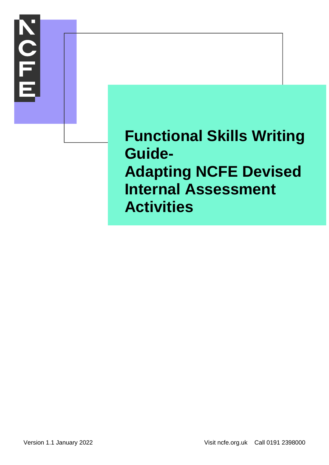

**Functional Skills Writing Guide-Adapting NCFE Devised Internal Assessment Activities**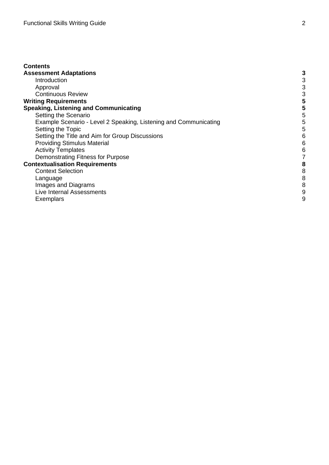| <b>Contents</b>                                                  |   |
|------------------------------------------------------------------|---|
| <b>Assessment Adaptations</b>                                    | 3 |
| Introduction                                                     | 3 |
| Approval                                                         | 3 |
| <b>Continuous Review</b>                                         | 3 |
| <b>Writing Requirements</b>                                      | 5 |
| <b>Speaking, Listening and Communicating</b>                     | 5 |
| Setting the Scenario                                             | 5 |
| Example Scenario - Level 2 Speaking, Listening and Communicating | 5 |
| Setting the Topic                                                | 5 |
| Setting the Title and Aim for Group Discussions                  | 6 |
| <b>Providing Stimulus Material</b>                               | 6 |
| <b>Activity Templates</b>                                        | 6 |
| Demonstrating Fitness for Purpose                                |   |
| <b>Contextualisation Requirements</b>                            | 8 |
| <b>Context Selection</b>                                         | 8 |
| Language                                                         | 8 |
| Images and Diagrams                                              | 8 |
| Live Internal Assessments                                        | 9 |
| Exemplars                                                        | 9 |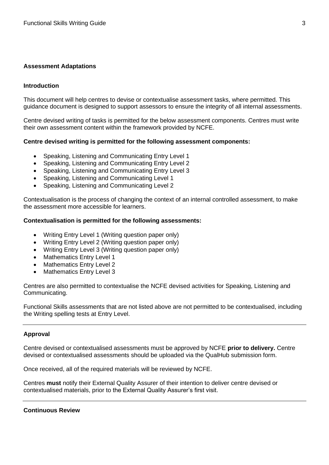# <span id="page-2-0"></span>**Assessment Adaptations**

#### <span id="page-2-1"></span>**Introduction**

This document will help centres to devise or contextualise assessment tasks, where permitted. This guidance document is designed to support assessors to ensure the integrity of all internal assessments.

Centre devised writing of tasks is permitted for the below assessment components. Centres must write their own assessment content within the framework provided by NCFE.

#### **Centre devised writing is permitted for the following assessment components:**

- Speaking, Listening and Communicating Entry Level 1
- Speaking, Listening and Communicating Entry Level 2
- Speaking, Listening and Communicating Entry Level 3
- Speaking, Listening and Communicating Level 1
- Speaking, Listening and Communicating Level 2

Contextualisation is the process of changing the context of an internal controlled assessment, to make the assessment more accessible for learners.

#### **Contextualisation is permitted for the following assessments:**

- Writing Entry Level 1 (Writing question paper only)
- Writing Entry Level 2 (Writing question paper only)
- Writing Entry Level 3 (Writing question paper only)
- Mathematics Entry Level 1
- Mathematics Entry Level 2
- Mathematics Entry Level 3

Centres are also permitted to contextualise the NCFE devised activities for Speaking, Listening and Communicating.

Functional Skills assessments that are not listed above are not permitted to be contextualised, including the Writing spelling tests at Entry Level.

#### <span id="page-2-2"></span>**Approval**

Centre devised or contextualised assessments must be approved by NCFE **prior to delivery.** Centre devised or contextualised assessments should be uploaded via the QualHub submission form.

Once received, all of the required materials will be reviewed by NCFE.

<span id="page-2-3"></span>Centres **must** notify their External Quality Assurer of their intention to deliver centre devised or contextualised materials, prior to the External Quality Assurer's first visit.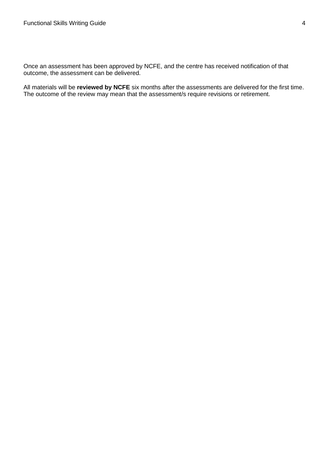Once an assessment has been approved by NCFE, and the centre has received notification of that outcome, the assessment can be delivered.

All materials will be **reviewed by NCFE** six months after the assessments are delivered for the first time. The outcome of the review may mean that the assessment/s require revisions or retirement.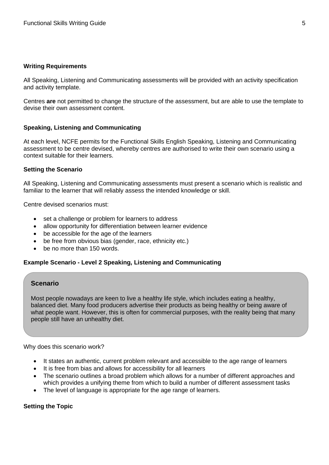### <span id="page-4-0"></span>**Writing Requirements**

All Speaking, Listening and Communicating assessments will be provided with an activity specification and activity template.

Centres **are** not permitted to change the structure of the assessment, but are able to use the template to devise their own assessment content.

# <span id="page-4-1"></span>**Speaking, Listening and Communicating**

At each level, NCFE permits for the Functional Skills English Speaking, Listening and Communicating assessment to be centre devised, whereby centres are authorised to write their own scenario using a context suitable for their learners.

### <span id="page-4-2"></span>**Setting the Scenario**

All Speaking, Listening and Communicating assessments must present a scenario which is realistic and familiar to the learner that will reliably assess the intended knowledge or skill.

Centre devised scenarios must:

- set a challenge or problem for learners to address
- allow opportunity for differentiation between learner evidence
- be accessible for the age of the learners
- be free from obvious bias (gender, race, ethnicity etc.)
- be no more than 150 words.

# <span id="page-4-3"></span>**Example Scenario - Level 2 Speaking, Listening and Communicating**

# **Scenario**

Most people nowadays are keen to live a healthy life style, which includes eating a healthy, balanced diet. Many food producers advertise their products as being healthy or being aware of what people want. However, this is often for commercial purposes, with the reality being that many people still have an unhealthy diet.

Why does this scenario work?

- It states an authentic, current problem relevant and accessible to the age range of learners
- It is free from bias and allows for accessibility for all learners
- The scenario outlines a broad problem which allows for a number of different approaches and which provides a unifying theme from which to build a number of different assessment tasks
- The level of language is appropriate for the age range of learners.

# <span id="page-4-4"></span>**Setting the Topic**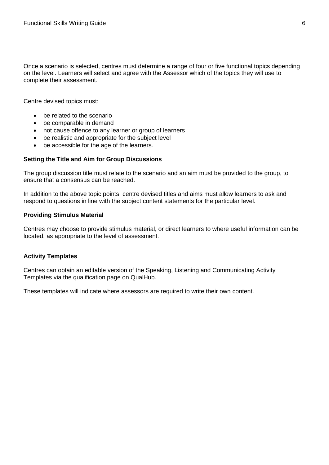Once a scenario is selected, centres must determine a range of four or five functional topics depending on the level. Learners will select and agree with the Assessor which of the topics they will use to complete their assessment.

Centre devised topics must:

- be related to the scenario
- be comparable in demand
- not cause offence to any learner or group of learners
- be realistic and appropriate for the subject level
- be accessible for the age of the learners.

### <span id="page-5-0"></span>**Setting the Title and Aim for Group Discussions**

The group discussion title must relate to the scenario and an aim must be provided to the group, to ensure that a consensus can be reached.

In addition to the above topic points, centre devised titles and aims must allow learners to ask and respond to questions in line with the subject content statements for the particular level.

#### <span id="page-5-1"></span>**Providing Stimulus Material**

Centres may choose to provide stimulus material, or direct learners to where useful information can be located, as appropriate to the level of assessment.

# <span id="page-5-2"></span>**Activity Templates**

Centres can obtain an editable version of the Speaking, Listening and Communicating Activity Templates via the qualification page on QualHub.

These templates will indicate where assessors are required to write their own content.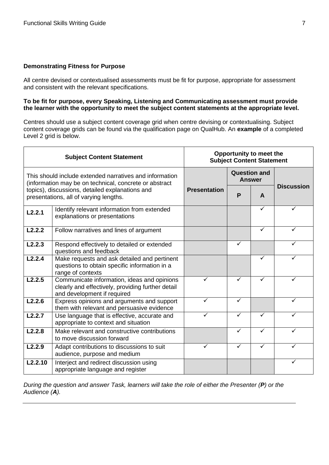# <span id="page-6-0"></span>**Demonstrating Fitness for Purpose**

All centre devised or contextualised assessments must be fit for purpose, appropriate for assessment and consistent with the relevant specifications.

### **To be fit for purpose, every Speaking, Listening and Communicating assessment must provide the learner with the opportunity to meet the subject content statements at the appropriate level.**

Centres should use a subject content coverage grid when centre devising or contextualising. Subject content coverage grids can be found via the qualification page on QualHub. An **example** of a completed Level 2 grid is below.

| <b>Subject Content Statement</b>                                                                                  |                                                                                                                                 | Opportunity to meet the<br><b>Subject Content Statement</b> |                                      |   |                   |
|-------------------------------------------------------------------------------------------------------------------|---------------------------------------------------------------------------------------------------------------------------------|-------------------------------------------------------------|--------------------------------------|---|-------------------|
| This should include extended narratives and information<br>(information may be on technical, concrete or abstract |                                                                                                                                 | <b>Presentation</b>                                         | <b>Question and</b><br><b>Answer</b> |   | <b>Discussion</b> |
| topics), discussions, detailed explanations and<br>presentations, all of varying lengths.                         |                                                                                                                                 |                                                             | P                                    | A |                   |
| L2.2.1                                                                                                            | Identify relevant information from extended<br>explanations or presentations                                                    |                                                             |                                      | ✓ |                   |
| L2.2.2                                                                                                            | Follow narratives and lines of argument                                                                                         |                                                             |                                      | ✓ | ✓                 |
| L2.2.3                                                                                                            | Respond effectively to detailed or extended<br>questions and feedback                                                           |                                                             | $\checkmark$                         |   |                   |
| L2.2.4                                                                                                            | Make requests and ask detailed and pertinent<br>questions to obtain specific information in a<br>range of contexts              |                                                             |                                      | ✓ | ✓                 |
| L2.2.5                                                                                                            | Communicate information, ideas and opinions<br>clearly and effectively, providing further detail<br>and development if required |                                                             | ✓                                    |   |                   |
| $\overline{L}$ 2.2.6                                                                                              | Express opinions and arguments and support<br>them with relevant and persuasive evidence                                        |                                                             | $\checkmark$                         |   | ✓                 |
| L2.2.7                                                                                                            | Use language that is effective, accurate and<br>appropriate to context and situation                                            |                                                             | ✓                                    | ✓ |                   |
| L2.2.8                                                                                                            | Make relevant and constructive contributions<br>to move discussion forward                                                      |                                                             | ✓                                    | ✓ | ✓                 |
| L2.2.9                                                                                                            | Adapt contributions to discussions to suit<br>audience, purpose and medium                                                      | ✓                                                           | ✓                                    | ✓ | ✓                 |
| L2.2.10                                                                                                           | Interject and redirect discussion using<br>appropriate language and register                                                    |                                                             |                                      |   | ✓                 |

*During the question and answer Task, learners will take the role of either the Presenter (P) or the Audience (A).*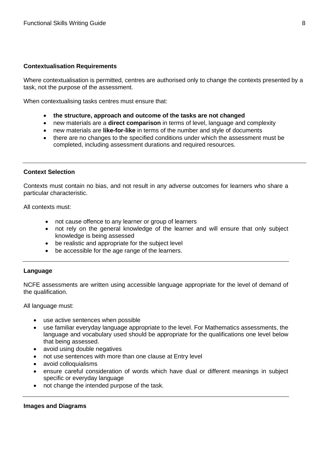# <span id="page-7-0"></span>**Contextualisation Requirements**

Where contextualisation is permitted, centres are authorised only to change the contexts presented by a task, not the purpose of the assessment.

When contextualising tasks centres must ensure that:

- **the structure, approach and outcome of the tasks are not changed**
- new materials are a **direct comparison** in terms of level, language and complexity
- new materials are **like-for-like** in terms of the number and style of documents
- there are no changes to the specified conditions under which the assessment must be completed, including assessment durations and required resources.

# <span id="page-7-1"></span>**Context Selection**

Contexts must contain no bias, and not result in any adverse outcomes for learners who share a particular characteristic.

All contexts must:

- not cause offence to any learner or group of learners
- not rely on the general knowledge of the learner and will ensure that only subject knowledge is being assessed
- be realistic and appropriate for the subject level
- be accessible for the age range of the learners.

# <span id="page-7-2"></span>**Language**

NCFE assessments are written using accessible language appropriate for the level of demand of the qualification.

All language must:

- use active sentences when possible
- use familiar everyday language appropriate to the level. For Mathematics assessments, the language and vocabulary used should be appropriate for the qualifications one level below that being assessed.
- avoid using double negatives
- not use sentences with more than one clause at Entry level
- avoid colloquialisms
- ensure careful consideration of words which have dual or different meanings in subject specific or everyday language
- not change the intended purpose of the task.

#### <span id="page-7-3"></span>**Images and Diagrams**